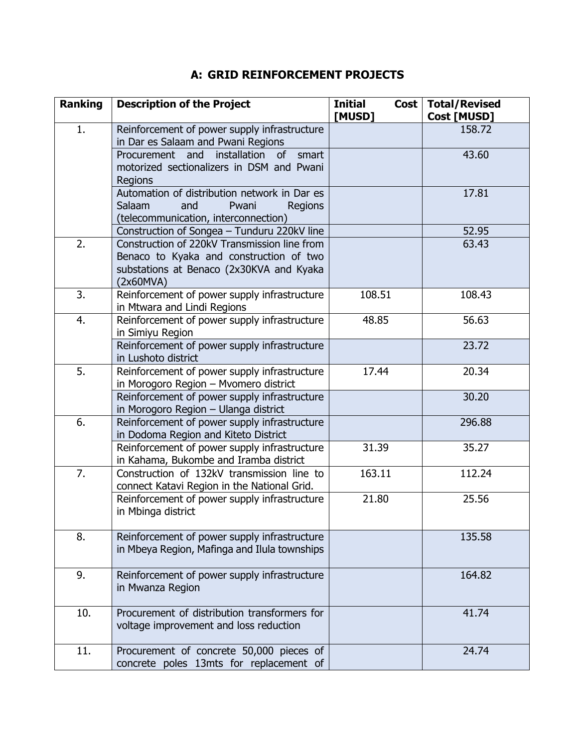## **A: GRID REINFORCEMENT PROJECTS**

| <b>Ranking</b> | <b>Description of the Project</b>                                                                                                                | <b>Initial</b><br>Cost  <br>[MUSD] | <b>Total/Revised</b><br>Cost [MUSD] |
|----------------|--------------------------------------------------------------------------------------------------------------------------------------------------|------------------------------------|-------------------------------------|
| 1.             | Reinforcement of power supply infrastructure<br>in Dar es Salaam and Pwani Regions                                                               |                                    | 158.72                              |
|                | Procurement and<br>installation of<br>smart<br>motorized sectionalizers in DSM and Pwani<br><b>Regions</b>                                       |                                    | 43.60                               |
|                | Automation of distribution network in Dar es<br>Salaam<br>Pwani<br>and<br>Regions<br>(telecommunication, interconnection)                        |                                    | 17.81                               |
|                | Construction of Songea - Tunduru 220kV line                                                                                                      |                                    | 52.95                               |
| 2.             | Construction of 220kV Transmission line from<br>Benaco to Kyaka and construction of two<br>substations at Benaco (2x30KVA and Kyaka<br>(2x60MVA) |                                    | 63.43                               |
| 3.             | Reinforcement of power supply infrastructure<br>in Mtwara and Lindi Regions                                                                      | 108.51                             | 108.43                              |
| 4.             | Reinforcement of power supply infrastructure<br>in Simiyu Region                                                                                 | 48.85                              | 56.63                               |
|                | Reinforcement of power supply infrastructure<br>in Lushoto district                                                                              |                                    | 23.72                               |
| 5.             | Reinforcement of power supply infrastructure<br>in Morogoro Region - Mvomero district                                                            | 17.44                              | 20.34                               |
|                | Reinforcement of power supply infrastructure<br>in Morogoro Region - Ulanga district                                                             |                                    | 30.20                               |
| 6.             | Reinforcement of power supply infrastructure<br>in Dodoma Region and Kiteto District                                                             |                                    | 296.88                              |
|                | Reinforcement of power supply infrastructure<br>in Kahama, Bukombe and Iramba district                                                           | 31.39                              | 35.27                               |
| 7.             | Construction of 132kV transmission line to<br>connect Katavi Region in the National Grid.                                                        | 163.11                             | 112.24                              |
|                | Reinforcement of power supply infrastructure<br>in Mbinga district                                                                               | 21.80                              | 25.56                               |
| 8.             | Reinforcement of power supply infrastructure<br>in Mbeya Region, Mafinga and Ilula townships                                                     |                                    | 135.58                              |
| 9.             | Reinforcement of power supply infrastructure<br>in Mwanza Region                                                                                 |                                    | 164.82                              |
| 10.            | Procurement of distribution transformers for<br>voltage improvement and loss reduction                                                           |                                    | 41.74                               |
| 11.            | Procurement of concrete 50,000 pieces of<br>concrete poles 13mts for replacement of                                                              |                                    | 24.74                               |